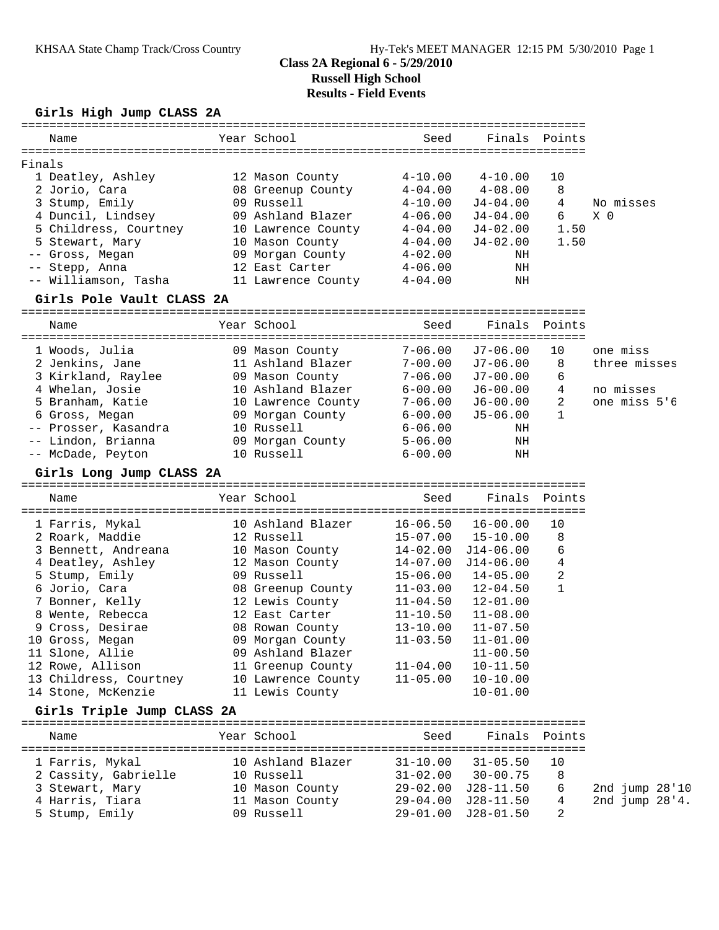# **Girls High Jump CLASS 2A**

| Name                                             | Year School                | Seed               |               | Finals Points  |                |
|--------------------------------------------------|----------------------------|--------------------|---------------|----------------|----------------|
| Finals                                           |                            |                    |               |                |                |
| 1 Deatley, Ashley                                | 12 Mason County            | $4-10.00$          | $4 - 10.00$   | 10             |                |
| 2 Jorio, Cara                                    | 08 Greenup County 4-04.00  |                    | $4 - 08.00$   | 8              |                |
| 3 Stump, Emily                                   | 09 Russell                 | $4 - 10.00$        | $J4 - 04.00$  | $\overline{4}$ | No misses      |
| 4 Duncil, Lindsey                                | 09 Ashland Blazer          | $4 - 06.00$        | J4-04.00      | 6              | X 0            |
| 5 Childress, Courtney 10 Lawrence County 4-04.00 |                            |                    | J4-02.00      | 1.50           |                |
| 5 Stewart, Mary                                  | 10 Mason County 4-04.00    |                    | J4-02.00      | 1.50           |                |
| -- Gross, Megan                                  | 09 Morgan County 4-02.00   |                    | NH            |                |                |
| -- Stepp, Anna                                   | 12 East Carter             | $4\hbox{--}06$ .00 | ΝH            |                |                |
| -- Williamson, Tasha                             | 11 Lawrence County 4-04.00 |                    | ΝH            |                |                |
| Girls Pole Vault CLASS 2A                        |                            |                    |               |                |                |
| Name                                             | Year School                | Seed               |               | Finals Points  |                |
|                                                  |                            |                    |               |                |                |
| 1 Woods, Julia                                   | 09 Mason County            | 7-06.00            | J7-06.00      | 10             | one miss       |
| 2 Jenkins, Jane                                  | 11 Ashland Blazer          | $7 - 00.00$        | J7-06.00      | 8              | three misses   |
| 3 Kirkland, Raylee 69 Mason County               |                            | $7 - 06.00$        | J7-00.00      | 6              |                |
| 4 Whelan, Josie                                  | 10 Ashland Blazer 6-00.00  |                    | J6-00.00      | $\overline{4}$ | no misses      |
| 5 Branham, Katie                                 | 10 Lawrence County 7-06.00 |                    | J6-00.00      | $\overline{2}$ | one miss 5'6   |
| 6 Gross, Megan                                   |                            |                    | $J5-06.00$    | $\mathbf{1}$   |                |
| -- Prosser, Kasandra                             |                            |                    | ΝH            |                |                |
| -- Lindon, Brianna                               | 09 Morgan County 5-06.00   |                    | ΝH            |                |                |
| -- McDade, Peyton                                | 10 Russell                 | $6 - 00.00$        | ΝH            |                |                |
| Girls Long Jump CLASS 2A                         |                            |                    |               |                |                |
| Name                                             | Year School                | Seed               |               | Finals Points  |                |
| 1 Farris, Mykal                                  | 10 Ashland Blazer          | $16 - 06.50$       | 16-00.00      | 10             |                |
| 2 Roark, Maddie                                  | 12 Russell                 | $15 - 07.00$       | $15 - 10.00$  | 8              |                |
| 3 Bennett, Andreana                              | 10 Mason County 14-02.00   |                    | J14-06.00     | 6              |                |
| 4 Deatley, Ashley                                | 12 Mason County            | $14 - 07.00$       | J14-06.00     | 4              |                |
| 5 Stump, Emily                                   | 09 Russell                 | $15 - 06.00$       | 14-05.00      | 2              |                |
| 6 Jorio, Cara                                    | 08 Greenup County          | 11-03.00           | 12-04.50      | $\mathbf{1}$   |                |
| 7 Bonner, Kelly                                  | 12 Lewis County            | 11-04.50           | 12-01.00      |                |                |
| 8 Wente, Rebecca                                 | 12 East Carter             | $11 - 10.50$       | $11 - 08.00$  |                |                |
| 9 Cross, Desirae                                 | 08 Rowan County 13-10.00   |                    | $11 - 07.50$  |                |                |
| 10 Gross, Megan                                  | 09 Morgan County           | $11 - 03.50$       | $11 - 01.00$  |                |                |
| 11 Slone, Allie                                  | 09 Ashland Blazer          |                    | $11 - 00.50$  |                |                |
| 12 Rowe, Allison                                 | 11 Greenup County          | $11 - 04.00$       | $10 - 11.50$  |                |                |
| 13 Childress, Courtney                           | 10 Lawrence County         | $11 - 05.00$       | $10 - 10.00$  |                |                |
| 14 Stone, McKenzie                               | 11 Lewis County            |                    | $10 - 01.00$  |                |                |
| Girls Triple Jump CLASS 2A                       |                            |                    |               |                |                |
| Name                                             | Year School                | Seed               |               | Finals Points  |                |
|                                                  |                            |                    |               |                |                |
| 1 Farris, Mykal                                  | 10 Ashland Blazer          | $31 - 10.00$       | $31 - 05.50$  | 10             |                |
| 2 Cassity, Gabrielle                             | 10 Russell                 | $31 - 02.00$       | $30 - 00.75$  | 8              |                |
| 3 Stewart, Mary                                  | 10 Mason County            | $29 - 02.00$       | J28-11.50     | 6              | 2nd jump 28'10 |
| 4 Harris, Tiara                                  | 11 Mason County            | 29-04.00           | $J28 - 11.50$ | 4<br>2         | 2nd jump 28'4. |
| 5 Stump, Emily                                   | 09 Russell                 | $29 - 01.00$       | $J28 - 01.50$ |                |                |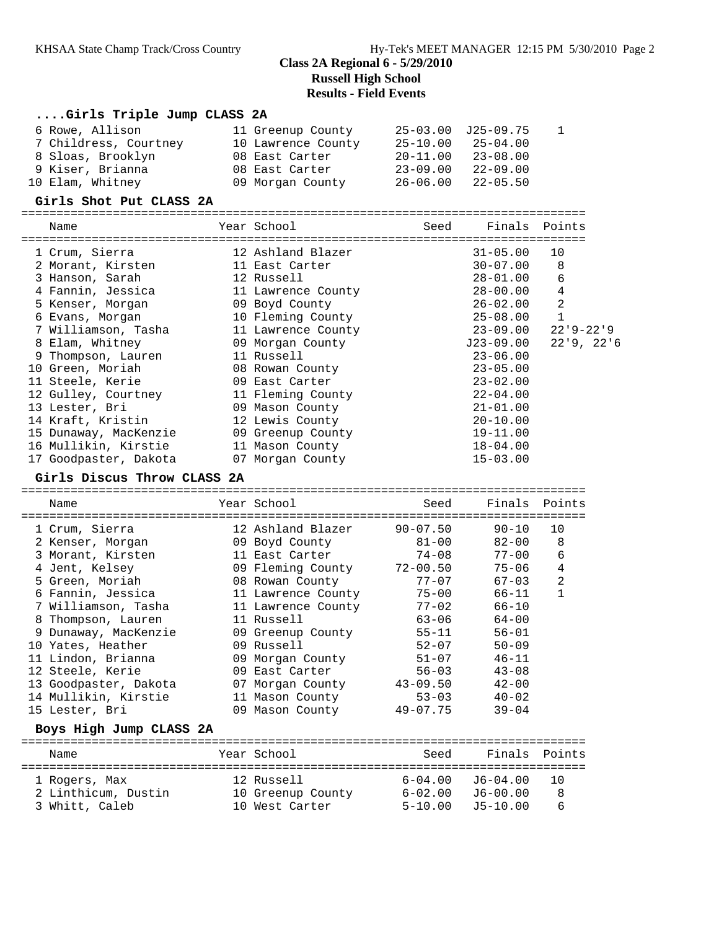### **....Girls Triple Jump CLASS 2A**

| 6 Rowe, Allison       | 11 Greenup County  |              | 25-03.00 J25-09.75        |  |
|-----------------------|--------------------|--------------|---------------------------|--|
| 7 Childress, Courtney | 10 Lawrence County | 25-10.00     | 25-04.00                  |  |
| 8 Sloas, Brooklyn     | 08 East Carter     | $20 - 11.00$ | $23 - 08.00$              |  |
| 9 Kiser, Brianna      | 08 East Carter     | $23 - 09.00$ | $22 - 09.00$              |  |
| 10 Elam, Whitney      | 09 Morgan County   |              | $26 - 06.00$ $22 - 05.50$ |  |

#### **Girls Shot Put CLASS 2A**

| Name                  | Year School                               | Seed | Finals Points |                |
|-----------------------|-------------------------------------------|------|---------------|----------------|
| 1 Crum, Sierra        | --------------------<br>12 Ashland Blazer |      | $31 - 05.00$  | 10             |
| 2 Morant, Kirsten     | 11 East Carter                            |      | $30 - 07.00$  | 8              |
| 3 Hanson, Sarah       | 12 Russell                                |      | $28 - 01.00$  | 6              |
| 4 Fannin, Jessica     | 11 Lawrence County                        |      | $28 - 00.00$  | $\sqrt{4}$     |
| 5 Kenser, Morgan      | 09 Boyd County                            |      | 26-02.00      | $\overline{2}$ |
| 6 Evans, Morgan       | 10 Fleming County                         |      | $25 - 08.00$  | $\mathbf{1}$   |
| 7 Williamson, Tasha   | 11 Lawrence County                        |      | 23-09.00      | $22'9 - 22'9$  |
| 8 Elam, Whitney       | 09 Morgan County                          |      | J23-09.00     | 22'9, 22'6     |
| 9 Thompson, Lauren    | 11 Russell                                |      | $23 - 06.00$  |                |
| 10 Green, Moriah      | 08 Rowan County                           |      | $23 - 05.00$  |                |
| 11 Steele, Kerie      | 09 East Carter                            |      | $23 - 02.00$  |                |
| 12 Gulley, Courtney   | 11 Fleming County                         |      | $22 - 04.00$  |                |
| 13 Lester, Bri        | 09 Mason County                           |      | $21 - 01.00$  |                |
| 14 Kraft, Kristin     | 12 Lewis County                           |      | $20 - 10.00$  |                |
| 15 Dunaway, MacKenzie | 09 Greenup County                         |      | $19 - 11.00$  |                |
| 16 Mullikin, Kirstie  | 11 Mason County                           |      | $18 - 04.00$  |                |
| 17 Goodpaster, Dakota | 07 Morgan County                          |      | $15 - 03.00$  |                |

#### **Girls Discus Throw CLASS 2A**

================================================================================ Name The Year School Seed Finals Points ================================================================================ 1 Crum, Sierra 12 Ashland Blazer 90-07.50 90-10 10 2 Kenser, Morgan 09 Boyd County 81-00 82-00 8 3 Morant, Kirsten 11 East Carter 74-08 77-00 6 4 Jent, Kelsey 09 Fleming County 72-00.50 75-06 4 5 Green, Moriah 08 Rowan County 77-07 67-03 2 6 Fannin, Jessica 11 Lawrence County 75-00 66-11 1 7 Williamson, Tasha 11 Lawrence County 77-02 66-10 8 Thompson, Lauren 11 Russell 63-06 64-00 9 Dunaway, MacKenzie 09 Greenup County 55-11 56-01 10 Yates, Heather 69 Russell 62-07 50-09 11 Lindon, Brianna 09 Morgan County 51-07 46-11 12 Steele, Kerie 09 East Carter 56-03 43-08 13 Goodpaster, Dakota 07 Morgan County 43-09.50 42-00 14 Mullikin, Kirstie 11 Mason County 53-03 40-02 15 Lester, Bri 09 Mason County 49-07.75 39-04 **Boys High Jump CLASS 2A** ================================================================================ Name The Year School Seed Finals Points ================================================================================

 1 Rogers, Max 12 Russell 6-04.00 J6-04.00 10 2 Linthicum, Dustin 10 Greenup County 6-02.00 J6-00.00 8 3 Whitt, Caleb 10 West Carter 5-10.00 J5-10.00 6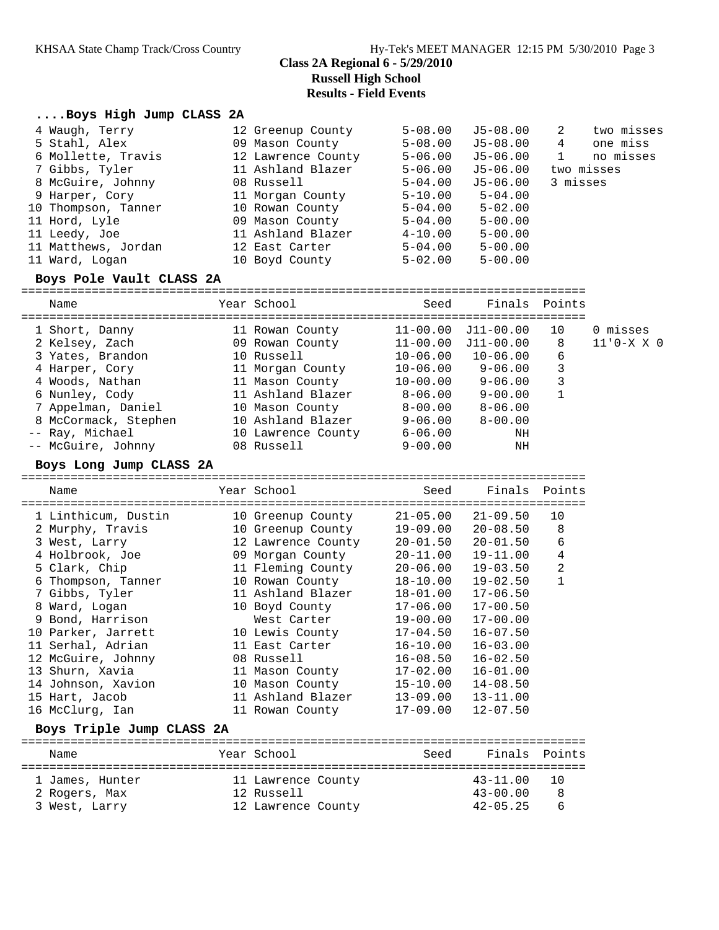### **....Boys High Jump CLASS 2A**

| 4 Waugh, Terry      | 12 Greenup County  | $5 - 08.00$ | J5-08.00    | 2 | two misses |
|---------------------|--------------------|-------------|-------------|---|------------|
| 5 Stahl, Alex       | 09 Mason County    | $5 - 08.00$ | J5-08.00    | 4 | one miss   |
| 6 Mollette, Travis  | 12 Lawrence County | $5 - 06.00$ | J5-06.00    |   | no misses  |
| 7 Gibbs, Tyler      | 11 Ashland Blazer  | $5 - 06.00$ | J5-06.00    |   | two misses |
| 8 McGuire, Johnny   | 08 Russell         | $5 - 04.00$ | J5-06.00    |   | 3 misses   |
| 9 Harper, Cory      | 11 Morgan County   | $5 - 10.00$ | $5 - 04.00$ |   |            |
| 10 Thompson, Tanner | 10 Rowan County    | $5 - 04.00$ | $5 - 02.00$ |   |            |
| 11 Hord, Lyle       | 09 Mason County    | $5 - 04.00$ | $5 - 00.00$ |   |            |
| 11 Leedy, Joe       | 11 Ashland Blazer  | $4 - 10.00$ | $5 - 00.00$ |   |            |
| 11 Matthews, Jordan | 12 East Carter     | $5 - 04.00$ | $5 - 00.00$ |   |            |
| 11 Ward, Logan      | 10 Boyd County     | $5 - 02.00$ | $5 - 00.00$ |   |            |

### **Boys Pole Vault CLASS 2A**

| Name                 | Year School        | Seed         | Finals Points |    |             |
|----------------------|--------------------|--------------|---------------|----|-------------|
| 1 Short, Danny       | 11 Rowan County    | $11 - 00.00$ | $J11 - 00.00$ | 10 | 0 misses    |
| 2 Kelsey, Zach       | 09 Rowan County    | $11 - 00.00$ | J11-00.00     | 8  | $11'0-X X0$ |
| 3 Yates, Brandon     | 10 Russell         | $10 - 06.00$ | $10 - 06.00$  | 6  |             |
| 4 Harper, Cory       | 11 Morgan County   | $10 - 06.00$ | $9 - 06.00$   | 3  |             |
| 4 Woods, Nathan      | 11 Mason County    | $10 - 00.00$ | $9 - 06.00$   | 3  |             |
| 6 Nunley, Cody       | 11 Ashland Blazer  | $8 - 06.00$  | $9 - 00.00$   |    |             |
| 7 Appelman, Daniel   | 10 Mason County    | $8 - 00.00$  | $8 - 06.00$   |    |             |
| 8 McCormack, Stephen | 10 Ashland Blazer  | $9 - 06.00$  | $8 - 00.00$   |    |             |
| -- Ray, Michael      | 10 Lawrence County | $6 - 06.00$  | ΝH            |    |             |
| -- McGuire, Johnny   | 08 Russell         | $9 - 00.00$  | ΝH            |    |             |
|                      |                    |              |               |    |             |

#### **Boys Long Jump CLASS 2A**

#### ================================================================================ Seed Finals Points

| 1 Linthicum, Dustin | 10 Greenup County  | $21 - 05.00$ | $21 - 09.50$ | 10             |
|---------------------|--------------------|--------------|--------------|----------------|
| 2 Murphy, Travis    | 10 Greenup County  | 19-09.00     | $20 - 08.50$ | 8              |
| 3 West, Larry       | 12 Lawrence County | $20 - 01.50$ | $20 - 01.50$ | 6              |
| 4 Holbrook, Joe     | 09 Morgan County   | 20-11.00     | $19 - 11.00$ | 4              |
| 5 Clark, Chip       | 11 Fleming County  | $20 - 06.00$ | $19 - 03.50$ | $\overline{2}$ |
| 6 Thompson, Tanner  | 10 Rowan County    | 18-10.00     | $19 - 02.50$ |                |
| 7 Gibbs, Tyler      | 11 Ashland Blazer  | $18 - 01.00$ | $17 - 06.50$ |                |
| 8 Ward, Logan       | 10 Boyd County     | $17 - 06.00$ | $17 - 00.50$ |                |
| 9 Bond, Harrison    | West Carter        | 19-00.00     | $17 - 00.00$ |                |
| 10 Parker, Jarrett  | 10 Lewis County    | 17-04.50     | $16 - 07.50$ |                |
| 11 Serhal, Adrian   | 11 East Carter     | $16 - 10.00$ | $16 - 03.00$ |                |
| 12 McGuire, Johnny  | 08 Russell         | $16 - 08.50$ | $16 - 02.50$ |                |
| 13 Shurn, Xavia     | 11 Mason County    | $17 - 02.00$ | $16 - 01.00$ |                |
| 14 Johnson, Xavion  | 10 Mason County    | 15-10.00     | $14 - 08.50$ |                |
| 15 Hart, Jacob      | 11 Ashland Blazer  | $13 - 09.00$ | $13 - 11.00$ |                |
| 16 McClurg, Ian     | 11 Rowan County    | $17 - 09.00$ | $12 - 07.50$ |                |
|                     |                    |              |              |                |

### **Boys Triple Jump CLASS 2A**

| Name            | Year School        | Seed | Finals Points |           |
|-----------------|--------------------|------|---------------|-----------|
| 1 James, Hunter | 11 Lawrence County |      | $43 - 11.00$  | <u>າດ</u> |
| 2 Rogers, Max   | 12 Russell         |      | $43 - 00.00$  | 8         |
| 3 West, Larry   | 12 Lawrence County |      | $42 - 05.25$  | б         |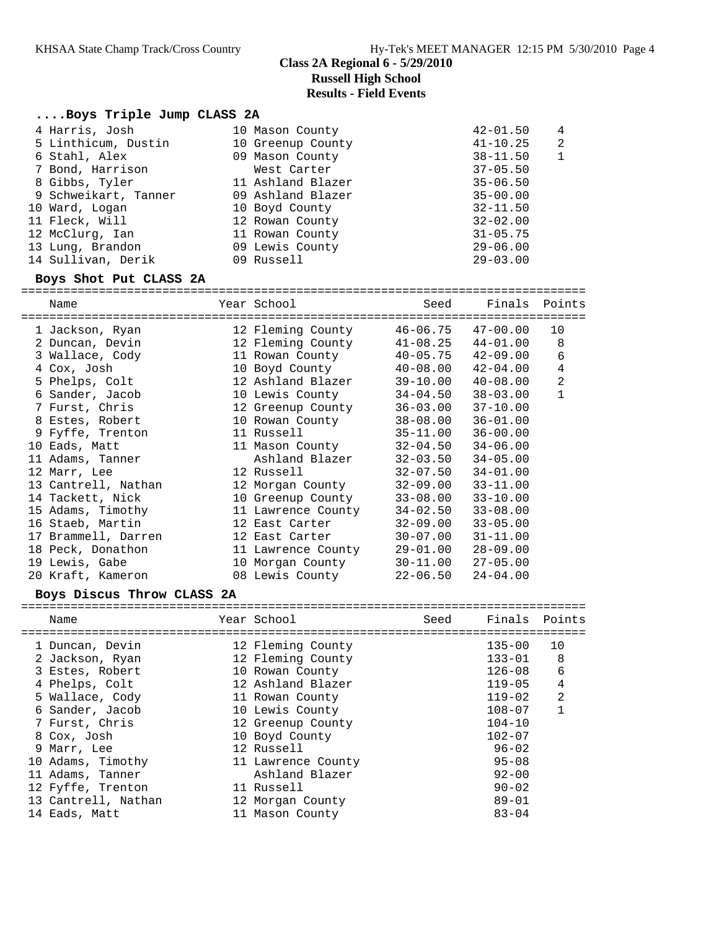### **....Boys Triple Jump CLASS 2A**

|  | 4 Harris, Josh       | 10 Mason County   | $42 - 01.50$ | $\overline{4}$ |
|--|----------------------|-------------------|--------------|----------------|
|  | 5 Linthicum, Dustin  | 10 Greenup County | $41 - 10.25$ | $\overline{2}$ |
|  | 6 Stahl, Alex        | 09 Mason County   | $38 - 11.50$ | $\mathbf{1}$   |
|  | 7 Bond, Harrison     | West Carter       | $37 - 05.50$ |                |
|  | 8 Gibbs, Tyler       | 11 Ashland Blazer | $35 - 06.50$ |                |
|  | 9 Schweikart, Tanner | 09 Ashland Blazer | $35 - 00.00$ |                |
|  | 10 Ward, Logan       | 10 Boyd County    | $32 - 11.50$ |                |
|  | 11 Fleck, Will       | 12 Rowan County   | $32 - 02.00$ |                |
|  | 12 McClurg, Ian      | 11 Rowan County   | $31 - 05.75$ |                |
|  | 13 Lung, Brandon     | 09 Lewis County   | $29 - 06.00$ |                |
|  | 14 Sullivan, Derik   | 09 Russell        | $29 - 03.00$ |                |
|  |                      |                   |              |                |

### **Boys Shot Put CLASS 2A**

| ===========         | ===========                                                                                                     |                           |               |                |
|---------------------|-----------------------------------------------------------------------------------------------------------------|---------------------------|---------------|----------------|
| Name                | Year School                                                                                                     | Seed                      | Finals Points |                |
| 1 Jackson, Ryan     | 12 Fleming County 46-06.75 47-00.00                                                                             |                           |               | 10             |
| 2 Duncan, Devin     | 12 Fleming County 41-08.25                                                                                      |                           | $44 - 01.00$  | 8              |
| 3 Wallace, Cody     | 11 Rowan County                                                                                                 | $40 - 05.75$ $42 - 09.00$ |               | 6              |
| 4 Cox, Josh         | 10 Boyd County 40-08.00                                                                                         |                           | 42-04.00      | $\overline{4}$ |
| 5 Phelps, Colt      | 12 Ashland Blazer                                                                                               | 39-10.00                  | $40 - 08.00$  | $\overline{c}$ |
| 6 Sander, Jacob     | 10 Lewis County                                                                                                 | 34-04.50                  | $38 - 03.00$  | $\mathbf{1}$   |
| 7 Furst, Chris      | 12 Greenup County                                                                                               | $36 - 03.00$              | $37 - 10.00$  |                |
| 8 Estes, Robert     | 10 Rowan County                                                                                                 | 38-08.00                  | $36 - 01.00$  |                |
| 9 Fyffe, Trenton    | 11 Russell and the search of the search of the search of the search of the search of the search of the search o | $35 - 11.00$              | $36 - 00.00$  |                |
| 10 Eads, Matt       | 11 Mason County                                                                                                 | $32 - 04.50$              | $34 - 06.00$  |                |
| 11 Adams, Tanner    | Ashland Blazer                                                                                                  | $32 - 03.50$              | $34 - 05.00$  |                |
| 12 Marr, Lee        | 12 Russell and the set of the set of the set of the set of the set of the set of the set of the set of the set  | $32 - 07.50$              | $34 - 01.00$  |                |
| 13 Cantrell, Nathan | 12 Morgan County                                                                                                | $32 - 09.00$              | $33 - 11.00$  |                |
| 14 Tackett, Nick    | 10 Greenup County                                                                                               | 33-08.00                  | $33 - 10.00$  |                |
| 15 Adams, Timothy   | 11 Lawrence County                                                                                              | $34 - 02.50$              | $33 - 08.00$  |                |
| 16 Staeb, Martin    | 12 East Carter                                                                                                  | $32 - 09.00$              | $33 - 05.00$  |                |
| 17 Brammell, Darren | 12 East Carter                                                                                                  | $30 - 07.00$              | $31 - 11.00$  |                |
| 18 Peck, Donathon   | 11 Lawrence County                                                                                              | 29-01.00                  | $28 - 09.00$  |                |
| 19 Lewis, Gabe      | 10 Morgan County                                                                                                | $30 - 11.00$              | $27 - 05.00$  |                |
| 20 Kraft, Kameron   | 08 Lewis County                                                                                                 | 22-06.50                  | $24 - 04.00$  |                |

### **Boys Discus Throw CLASS 2A**

| Name                | Year School        | Seed | Finals Points |                |
|---------------------|--------------------|------|---------------|----------------|
| 1 Duncan, Devin     | 12 Fleming County  |      | $135 - 00$    | 10             |
| 2 Jackson, Ryan     | 12 Fleming County  |      | $133 - 01$    | 8              |
| 3 Estes, Robert     | 10 Rowan County    |      | $126 - 08$    | 6              |
| 4 Phelps, Colt      | 12 Ashland Blazer  |      | $119 - 05$    | 4              |
| 5 Wallace, Cody     | 11 Rowan County    |      | $119 - 02$    | $\overline{2}$ |
| 6 Sander, Jacob     | 10 Lewis County    |      | $108 - 07$    | 1              |
| 7 Furst, Chris      | 12 Greenup County  |      | $104 - 10$    |                |
| 8 Cox, Josh         | 10 Boyd County     |      | $102 - 07$    |                |
| 9 Marr, Lee         | 12 Russell         |      | $96 - 02$     |                |
| 10 Adams, Timothy   | 11 Lawrence County |      | $95 - 08$     |                |
| 11 Adams, Tanner    | Ashland Blazer     |      | $92 - 00$     |                |
| 12 Fyffe, Trenton   | 11 Russell         |      | $90 - 02$     |                |
| 13 Cantrell, Nathan | 12 Morgan County   |      | $89 - 01$     |                |
| 14 Eads, Matt       | 11 Mason County    |      | $83 - 04$     |                |
|                     |                    |      |               |                |